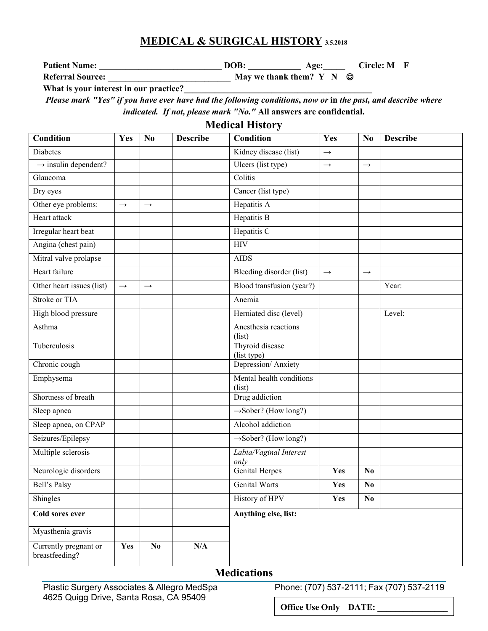## **MEDICAL & SURGICAL HISTORY 3.5.2018**

**Patient Name: \_\_\_\_\_\_\_\_\_\_\_\_\_\_\_\_\_\_\_\_\_\_\_\_\_\_\_\_ DOB: Age:\_\_\_\_\_ Circle: M F** 

**Referral Source: \_\_\_\_\_\_\_\_\_\_\_\_\_\_\_\_\_\_\_\_\_\_\_\_\_\_\_\_ May we thank them? Y N** 

What is your interest in our practice?

*Please mark "Yes" if you have ever have had the following conditions***,** *now or* **in** *the past, and describe where indicated. If not, please mark "No."* **All answers are confidential.**

**Medical History**

| <b>Condition</b>                        | Yes               | N <sub>0</sub> | <b>Describe</b> | <b>Condition</b>                   | Yes           | N <sub>0</sub>    | <b>Describe</b> |
|-----------------------------------------|-------------------|----------------|-----------------|------------------------------------|---------------|-------------------|-----------------|
| <b>Diabetes</b>                         |                   |                |                 | Kidney disease (list)              | $\rightarrow$ |                   |                 |
| $\rightarrow$ insulin dependent?        |                   |                |                 | Ulcers (list type)                 | $\rightarrow$ | $\rightarrow$     |                 |
| Glaucoma                                |                   |                |                 | Colitis                            |               |                   |                 |
| Dry eyes                                |                   |                |                 | Cancer (list type)                 |               |                   |                 |
| Other eye problems:                     | $\rightarrow$     | $\rightarrow$  |                 | Hepatitis A                        |               |                   |                 |
| Heart attack                            |                   |                |                 | Hepatitis B                        |               |                   |                 |
| Irregular heart beat                    |                   |                |                 | Hepatitis C                        |               |                   |                 |
| Angina (chest pain)                     |                   |                |                 | <b>HIV</b>                         |               |                   |                 |
| Mitral valve prolapse                   |                   |                |                 | <b>AIDS</b>                        |               |                   |                 |
| Heart failure                           |                   |                |                 | Bleeding disorder (list)           | $\rightarrow$ | $\longrightarrow$ |                 |
| Other heart issues (list)               | $\longrightarrow$ | $\rightarrow$  |                 | Blood transfusion (year?)          |               |                   | Year:           |
| Stroke or TIA                           |                   |                |                 | Anemia                             |               |                   |                 |
| High blood pressure                     |                   |                |                 | Herniated disc (level)             |               |                   | Level:          |
| Asthma                                  |                   |                |                 | Anesthesia reactions<br>(list)     |               |                   |                 |
| Tuberculosis                            |                   |                |                 | Thyroid disease<br>(list type)     |               |                   |                 |
| Chronic cough                           |                   |                |                 | Depression/Anxiety                 |               |                   |                 |
| Emphysema                               |                   |                |                 | Mental health conditions<br>(list) |               |                   |                 |
| Shortness of breath                     |                   |                |                 | Drug addiction                     |               |                   |                 |
| Sleep apnea                             |                   |                |                 | $\rightarrow$ Sober? (How long?)   |               |                   |                 |
| Sleep apnea, on CPAP                    |                   |                |                 | Alcohol addiction                  |               |                   |                 |
| Seizures/Epilepsy                       |                   |                |                 | $\rightarrow$ Sober? (How long?)   |               |                   |                 |
| Multiple sclerosis                      |                   |                |                 | Labia/Vaginal Interest<br>only     |               |                   |                 |
| Neurologic disorders                    |                   |                |                 | <b>Genital Herpes</b>              | Yes           | N <sub>0</sub>    |                 |
| Bell's Palsy                            |                   |                |                 | <b>Genital Warts</b>               | Yes           | N <sub>0</sub>    |                 |
| Shingles                                |                   |                |                 | <b>History of HPV</b>              | Yes           | $\bf No$          |                 |
| Cold sores ever                         |                   |                |                 | Anything else, list:               |               |                   |                 |
| Myasthenia gravis                       |                   |                |                 |                                    |               |                   |                 |
| Currently pregnant or<br>breastfeeding? | Yes               | $\bf No$       | N/A             |                                    |               |                   |                 |

## **Medications**

Plastic Surgery Associates & Allegro MedSpa Phone: (707) 537-2111; Fax (707) 537-2119

**Office Use Only DATE:**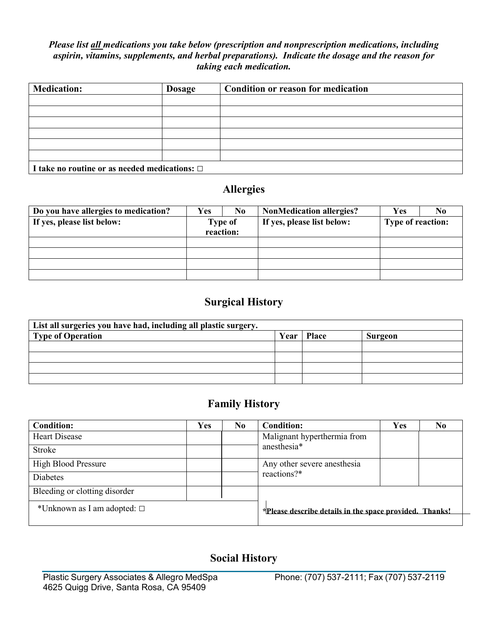### *Please list all medications you take below (prescription and nonprescription medications, including aspirin, vitamins, supplements, and herbal preparations). Indicate the dosage and the reason for taking each medication.*

| <b>Medication:</b>                                 | <b>Dosage</b> | Condition or reason for medication |  |  |  |
|----------------------------------------------------|---------------|------------------------------------|--|--|--|
|                                                    |               |                                    |  |  |  |
|                                                    |               |                                    |  |  |  |
|                                                    |               |                                    |  |  |  |
|                                                    |               |                                    |  |  |  |
|                                                    |               |                                    |  |  |  |
|                                                    |               |                                    |  |  |  |
| I take no routine or as needed medications: $\Box$ |               |                                    |  |  |  |

# **Allergies**

| Do you have allergies to medication? | Yes            | No.       | <b>NonMedication allergies?</b> | Yes               | N <sub>0</sub> |
|--------------------------------------|----------------|-----------|---------------------------------|-------------------|----------------|
| If yes, please list below:           | <b>Type of</b> |           | If yes, please list below:      | Type of reaction: |                |
|                                      |                | reaction: |                                 |                   |                |
|                                      |                |           |                                 |                   |                |
|                                      |                |           |                                 |                   |                |
|                                      |                |           |                                 |                   |                |
|                                      |                |           |                                 |                   |                |

# **Surgical History**

| List all surgeries you have had, including all plastic surgery. |  |              |         |  |  |  |
|-----------------------------------------------------------------|--|--------------|---------|--|--|--|
| Type of Operation                                               |  | Year   Place | Surgeon |  |  |  |
|                                                                 |  |              |         |  |  |  |
|                                                                 |  |              |         |  |  |  |
|                                                                 |  |              |         |  |  |  |
|                                                                 |  |              |         |  |  |  |

# **Family History**

| <b>Condition:</b>                   | Yes | N <sub>0</sub> | <b>Condition:</b>                                       | Yes | N <sub>0</sub> |
|-------------------------------------|-----|----------------|---------------------------------------------------------|-----|----------------|
| Heart Disease                       |     |                | Malignant hyperthermia from                             |     |                |
| <b>Stroke</b>                       |     |                | anesthesia*                                             |     |                |
| <b>High Blood Pressure</b>          |     |                | Any other severe anesthesia                             |     |                |
| <b>Diabetes</b>                     |     |                | reactions?*                                             |     |                |
| Bleeding or clotting disorder       |     |                |                                                         |     |                |
| *Unknown as I am adopted: $\square$ |     |                | *Please describe details in the space provided. Thanks! |     |                |
|                                     |     |                |                                                         |     |                |

# **Social History**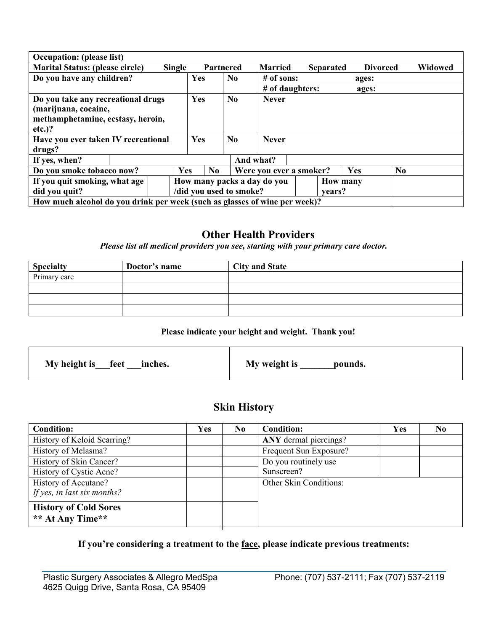| <b>Occupation:</b> (please list)                                                                                                                    |               |            |           |                            |                              |                  |                 |                 |                |
|-----------------------------------------------------------------------------------------------------------------------------------------------------|---------------|------------|-----------|----------------------------|------------------------------|------------------|-----------------|-----------------|----------------|
| <b>Marital Status: (please circle)</b>                                                                                                              | <b>Single</b> |            | Partnered |                            | <b>Married</b>               | <b>Separated</b> |                 | <b>Divorced</b> | <b>Widowed</b> |
| Do you have any children?                                                                                                                           |               | Yes        |           | N <sub>0</sub>             | $#$ of sons:                 |                  | ages:           |                 |                |
|                                                                                                                                                     |               |            |           |                            | # of daughters:              |                  | ages:           |                 |                |
| Do you take any recreational drugs<br>(marijuana, cocaine,<br>methamphetamine, ecstasy, heroin,<br>$etc.$ )?<br>Have you ever taken IV recreational |               | Yes<br>Yes |           | N <sub>0</sub><br>$\bf No$ | <b>Never</b><br><b>Never</b> |                  |                 |                 |                |
| drugs?                                                                                                                                              |               |            |           |                            |                              |                  |                 |                 |                |
| If yes, when?                                                                                                                                       |               |            |           |                            | And what?                    |                  |                 |                 |                |
| Do you smoke tobacco now?                                                                                                                           | Yes           |            | No        |                            | Were you ever a smoker?      |                  | Yes             | N <sub>0</sub>  |                |
| If you quit smoking, what age                                                                                                                       |               |            |           |                            | How many packs a day do you  |                  | <b>How many</b> |                 |                |
| did you quit?                                                                                                                                       |               |            |           | /did you used to smoke?    |                              | vears?           |                 |                 |                |
| How much alcohol do you drink per week (such as glasses of wine per week)?                                                                          |               |            |           |                            |                              |                  |                 |                 |                |

## **Other Health Providers**

*Please list all medical providers you see, starting with your primary care doctor.*

| <b>Specialty</b> | Doctor's name | <b>City and State</b> |
|------------------|---------------|-----------------------|
| Primary care     |               |                       |
|                  |               |                       |
|                  |               |                       |
|                  |               |                       |

### **Please indicate your height and weight. Thank you!**

| My height is <u>feet</u> ___ inches. | My weight is<br>pounds. |
|--------------------------------------|-------------------------|
|--------------------------------------|-------------------------|

# **Skin History**

| <b>Condition:</b>            | Yes | N <sub>0</sub> | <b>Condition:</b>      | <b>Yes</b> | N <sub>0</sub> |
|------------------------------|-----|----------------|------------------------|------------|----------------|
| History of Keloid Scarring?  |     |                | ANY dermal piercings?  |            |                |
| History of Melasma?          |     |                | Frequent Sun Exposure? |            |                |
| History of Skin Cancer?      |     |                | Do you routinely use   |            |                |
| History of Cystic Acne?      |     |                | Sunscreen?             |            |                |
| History of Accutane?         |     |                | Other Skin Conditions: |            |                |
| If yes, in last six months?  |     |                |                        |            |                |
| <b>History of Cold Sores</b> |     |                |                        |            |                |
| ** At Any Time**             |     |                |                        |            |                |

## **If you're considering a treatment to the face, please indicate previous treatments:**